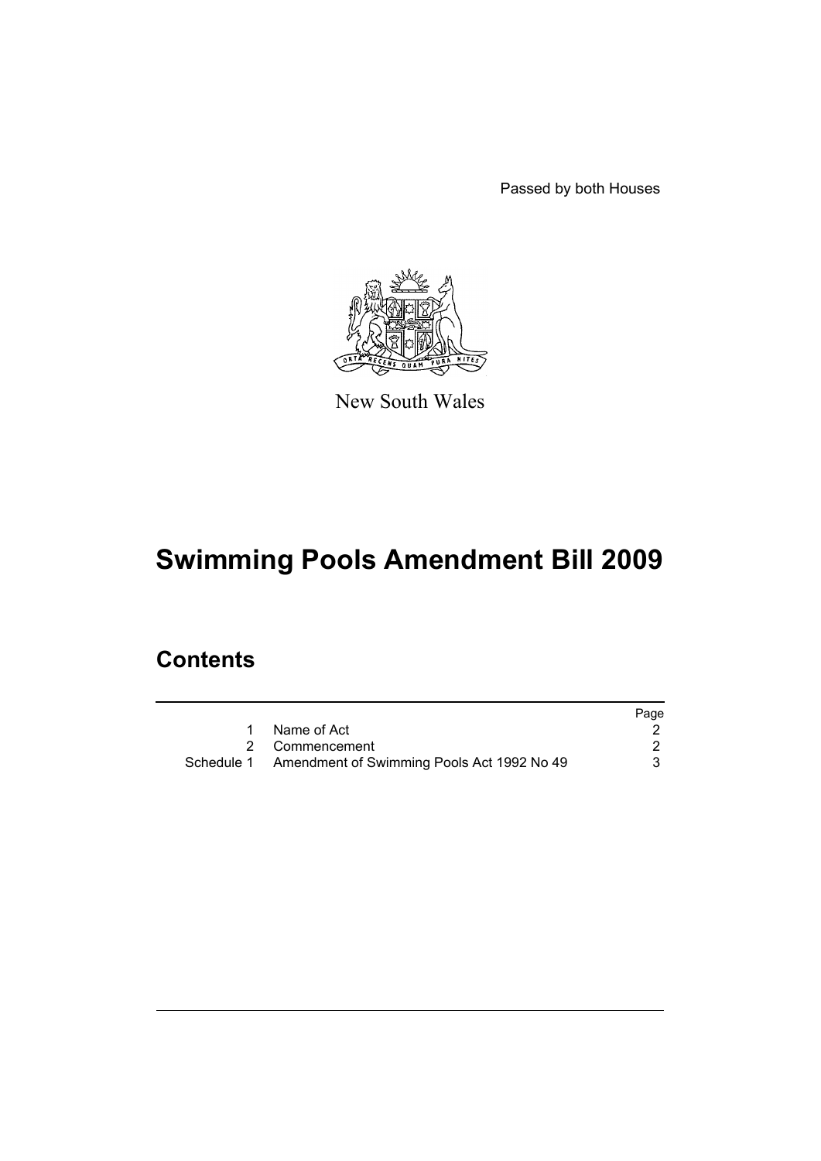Passed by both Houses



New South Wales

# **Swimming Pools Amendment Bill 2009**

# **Contents**

|                                                       | Page |
|-------------------------------------------------------|------|
| Name of Act                                           |      |
| 2 Commencement                                        |      |
| Schedule 1 Amendment of Swimming Pools Act 1992 No 49 |      |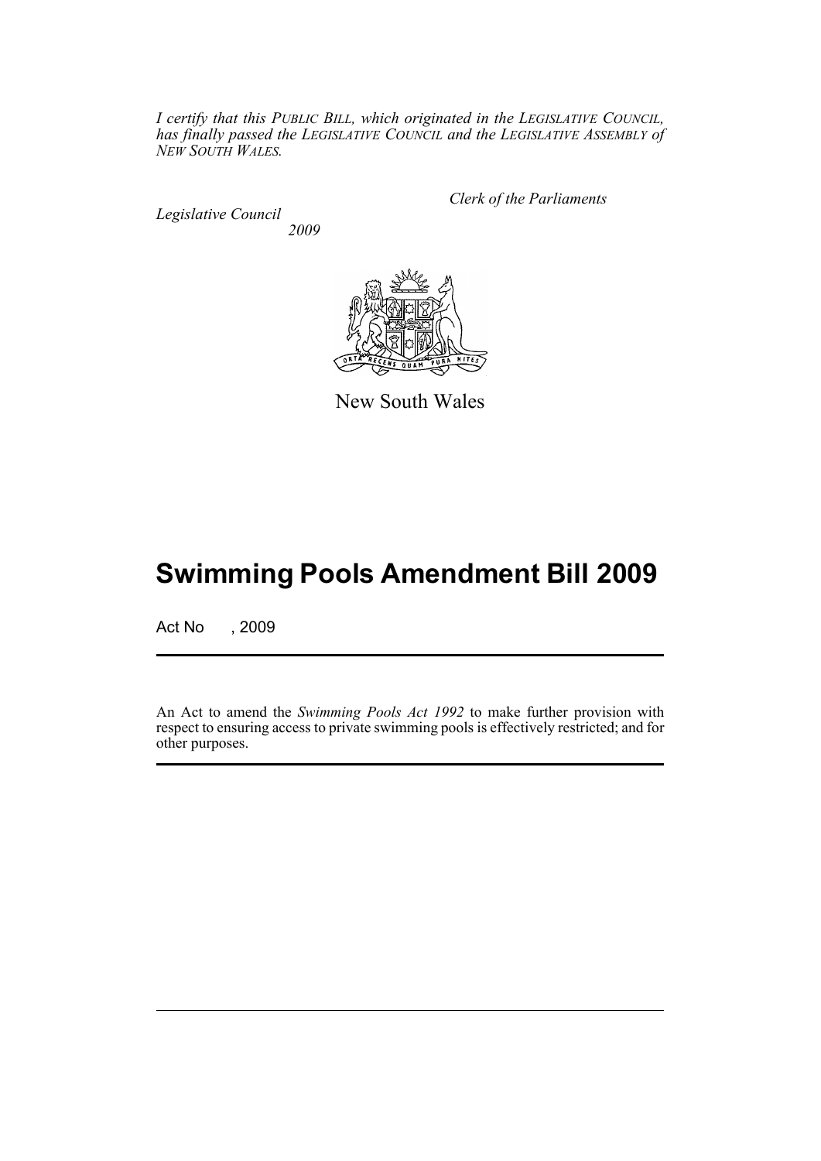*I certify that this PUBLIC BILL, which originated in the LEGISLATIVE COUNCIL, has finally passed the LEGISLATIVE COUNCIL and the LEGISLATIVE ASSEMBLY of NEW SOUTH WALES.*

*Legislative Council 2009* *Clerk of the Parliaments*



New South Wales

# **Swimming Pools Amendment Bill 2009**

Act No , 2009

An Act to amend the *Swimming Pools Act 1992* to make further provision with respect to ensuring access to private swimming pools is effectively restricted; and for other purposes.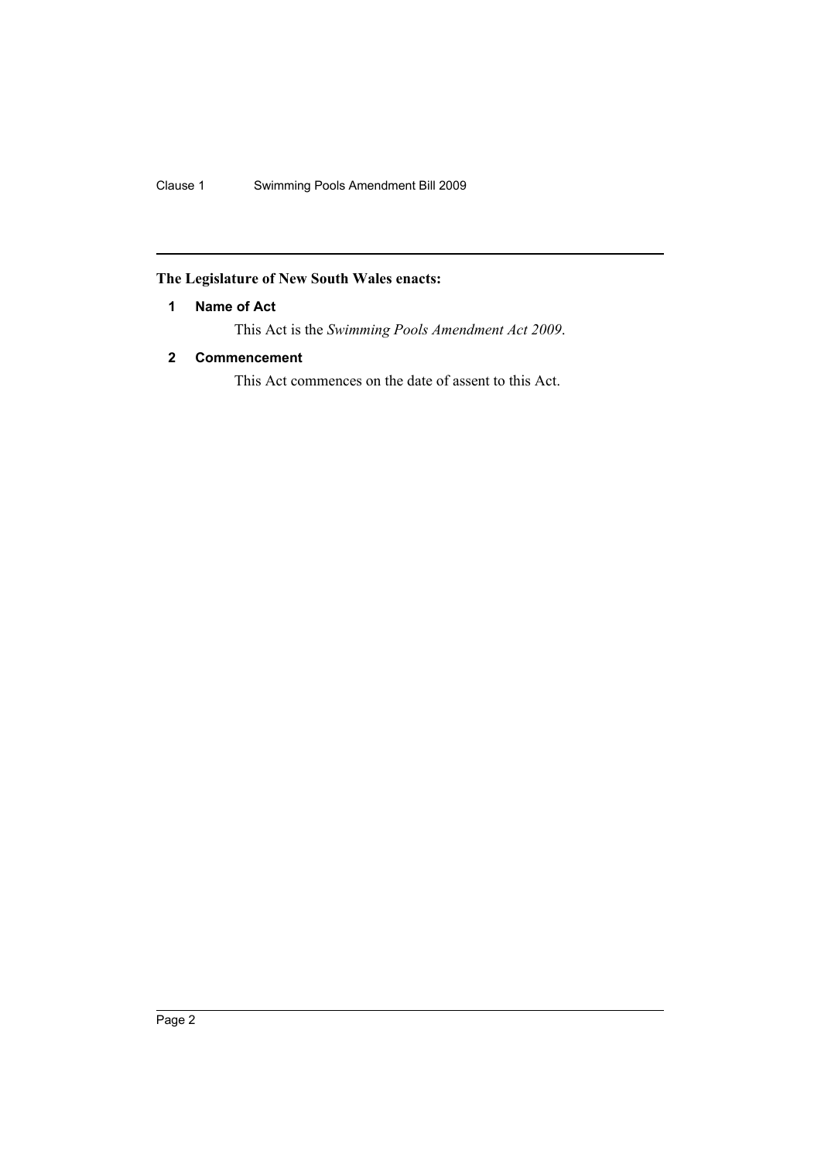# <span id="page-2-0"></span>**The Legislature of New South Wales enacts:**

# **1 Name of Act**

This Act is the *Swimming Pools Amendment Act 2009*.

# <span id="page-2-1"></span>**2 Commencement**

This Act commences on the date of assent to this Act.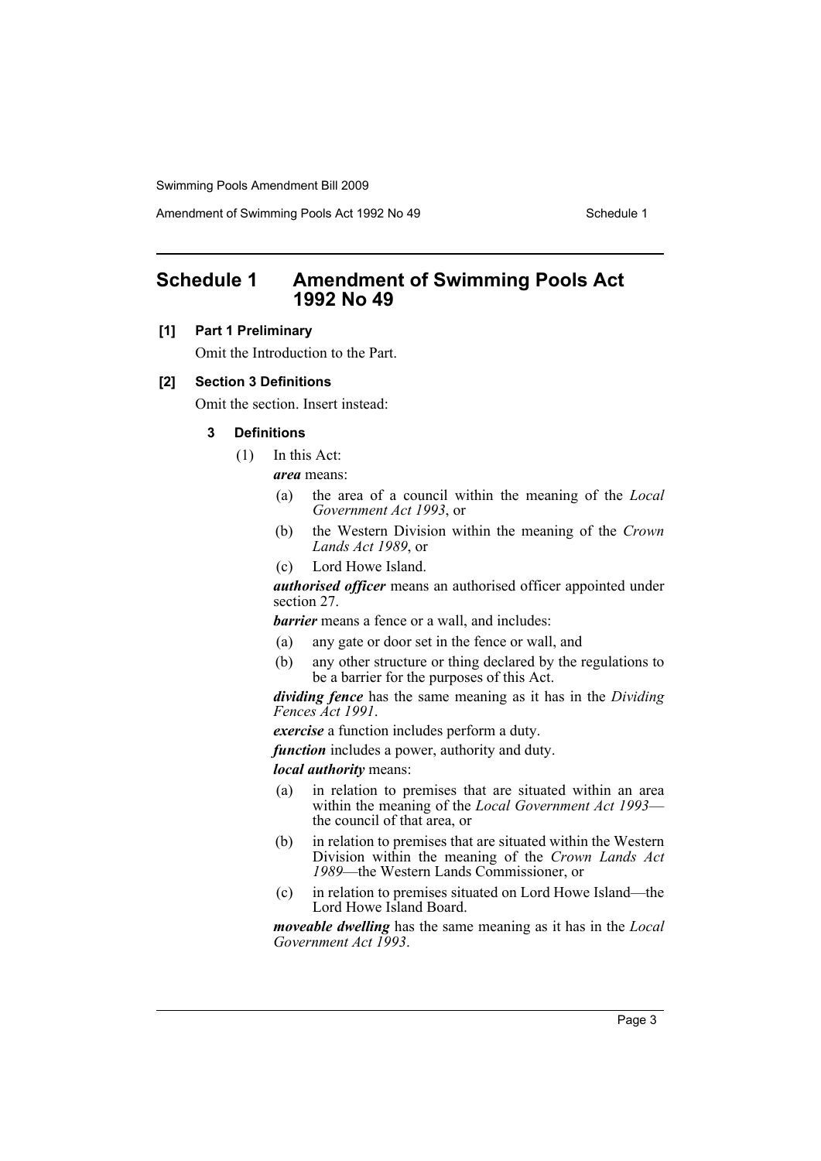Amendment of Swimming Pools Act 1992 No 49 Schedule 1

# <span id="page-3-0"></span>**Schedule 1 Amendment of Swimming Pools Act 1992 No 49**

### **[1] Part 1 Preliminary**

Omit the Introduction to the Part.

#### **[2] Section 3 Definitions**

Omit the section. Insert instead:

# **3 Definitions**

(1) In this Act:

*area* means:

- (a) the area of a council within the meaning of the *Local Government Act 1993*, or
- (b) the Western Division within the meaning of the *Crown Lands Act 1989*, or
- (c) Lord Howe Island.

*authorised officer* means an authorised officer appointed under section 27.

*barrier* means a fence or a wall, and includes:

- (a) any gate or door set in the fence or wall, and
- (b) any other structure or thing declared by the regulations to be a barrier for the purposes of this Act.

*dividing fence* has the same meaning as it has in the *Dividing Fences Act 1991*.

*exercise* a function includes perform a duty.

*function* includes a power, authority and duty.

*local authority* means:

- (a) in relation to premises that are situated within an area within the meaning of the *Local Government Act 1993* the council of that area, or
- (b) in relation to premises that are situated within the Western Division within the meaning of the *Crown Lands Act 1989*—the Western Lands Commissioner, or
- (c) in relation to premises situated on Lord Howe Island—the Lord Howe Island Board.

*moveable dwelling* has the same meaning as it has in the *Local Government Act 1993*.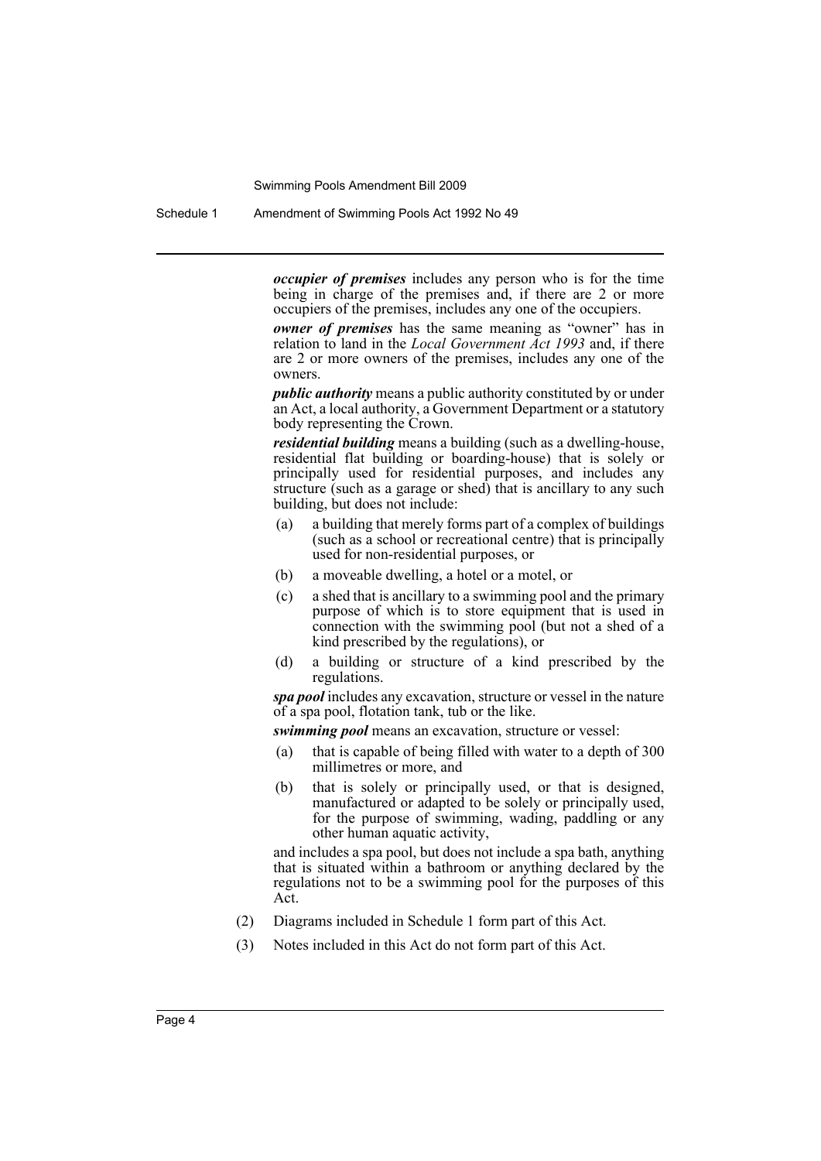Schedule 1 Amendment of Swimming Pools Act 1992 No 49

*occupier of premises* includes any person who is for the time being in charge of the premises and, if there are 2 or more occupiers of the premises, includes any one of the occupiers.

*owner of premises* has the same meaning as "owner" has in relation to land in the *Local Government Act 1993* and, if there are 2 or more owners of the premises, includes any one of the owners.

*public authority* means a public authority constituted by or under an Act, a local authority, a Government Department or a statutory body representing the Crown.

*residential building* means a building (such as a dwelling-house, residential flat building or boarding-house) that is solely or principally used for residential purposes, and includes any structure (such as a garage or shed) that is ancillary to any such building, but does not include:

- (a) a building that merely forms part of a complex of buildings (such as a school or recreational centre) that is principally used for non-residential purposes, or
- (b) a moveable dwelling, a hotel or a motel, or
- (c) a shed that is ancillary to a swimming pool and the primary purpose of which is to store equipment that is used in connection with the swimming pool (but not a shed of a kind prescribed by the regulations), or
- (d) a building or structure of a kind prescribed by the regulations.

*spa pool* includes any excavation, structure or vessel in the nature of a spa pool, flotation tank, tub or the like.

*swimming pool* means an excavation, structure or vessel:

- (a) that is capable of being filled with water to a depth of 300 millimetres or more, and
- (b) that is solely or principally used, or that is designed, manufactured or adapted to be solely or principally used, for the purpose of swimming, wading, paddling or any other human aquatic activity,

and includes a spa pool, but does not include a spa bath, anything that is situated within a bathroom or anything declared by the regulations not to be a swimming pool for the purposes of this Act.

- (2) Diagrams included in Schedule 1 form part of this Act.
- (3) Notes included in this Act do not form part of this Act.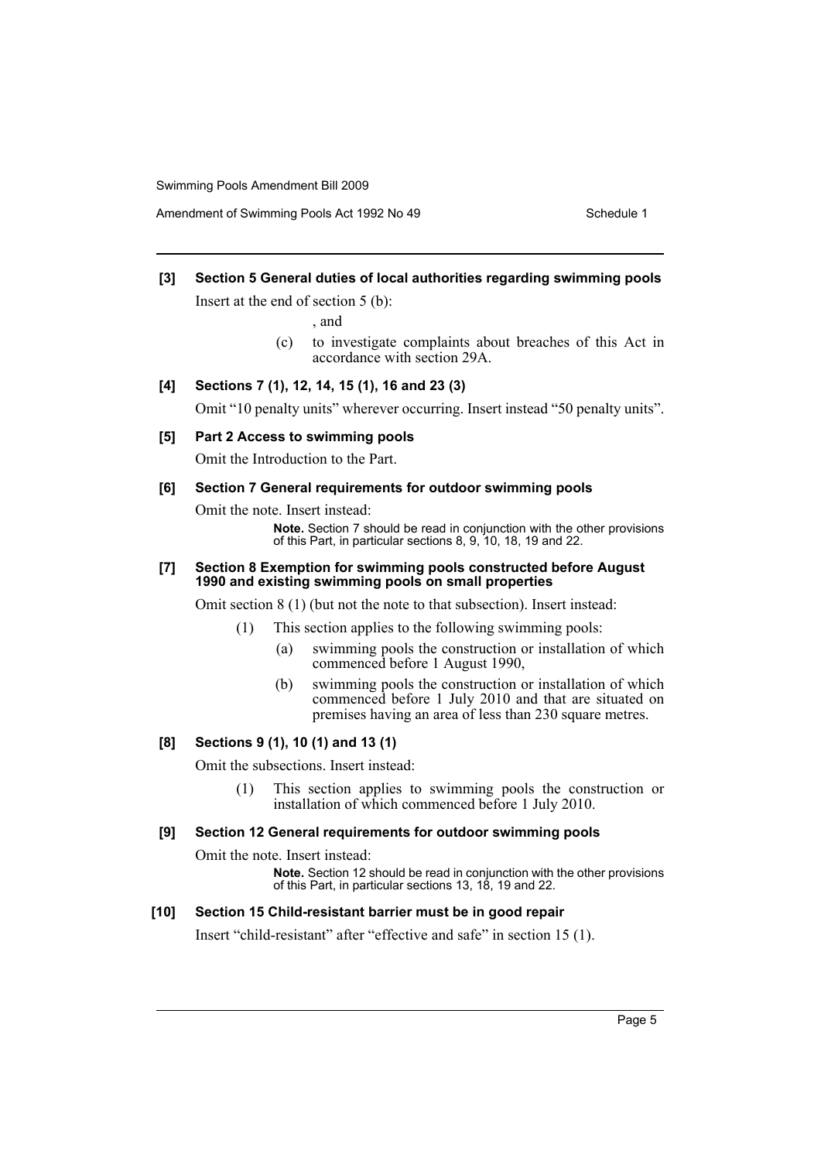# **[3] Section 5 General duties of local authorities regarding swimming pools**

Insert at the end of section 5 (b):

, and

(c) to investigate complaints about breaches of this Act in accordance with section 29A.

# **[4] Sections 7 (1), 12, 14, 15 (1), 16 and 23 (3)**

Omit "10 penalty units" wherever occurring. Insert instead "50 penalty units".

#### **[5] Part 2 Access to swimming pools**

Omit the Introduction to the Part.

#### **[6] Section 7 General requirements for outdoor swimming pools**

Omit the note. Insert instead:

**Note.** Section 7 should be read in conjunction with the other provisions of this Part, in particular sections 8, 9, 10, 18, 19 and 22.

#### **[7] Section 8 Exemption for swimming pools constructed before August 1990 and existing swimming pools on small properties**

Omit section 8 (1) (but not the note to that subsection). Insert instead:

- (1) This section applies to the following swimming pools:
	- (a) swimming pools the construction or installation of which commenced before 1 August 1990,
	- (b) swimming pools the construction or installation of which commenced before 1 July 2010 and that are situated on premises having an area of less than 230 square metres.

#### **[8] Sections 9 (1), 10 (1) and 13 (1)**

Omit the subsections. Insert instead:

(1) This section applies to swimming pools the construction or installation of which commenced before 1 July 2010.

## **[9] Section 12 General requirements for outdoor swimming pools**

Omit the note. Insert instead:

**Note.** Section 12 should be read in conjunction with the other provisions of this Part, in particular sections 13, 18, 19 and 22.

#### **[10] Section 15 Child-resistant barrier must be in good repair**

Insert "child-resistant" after "effective and safe" in section 15 (1).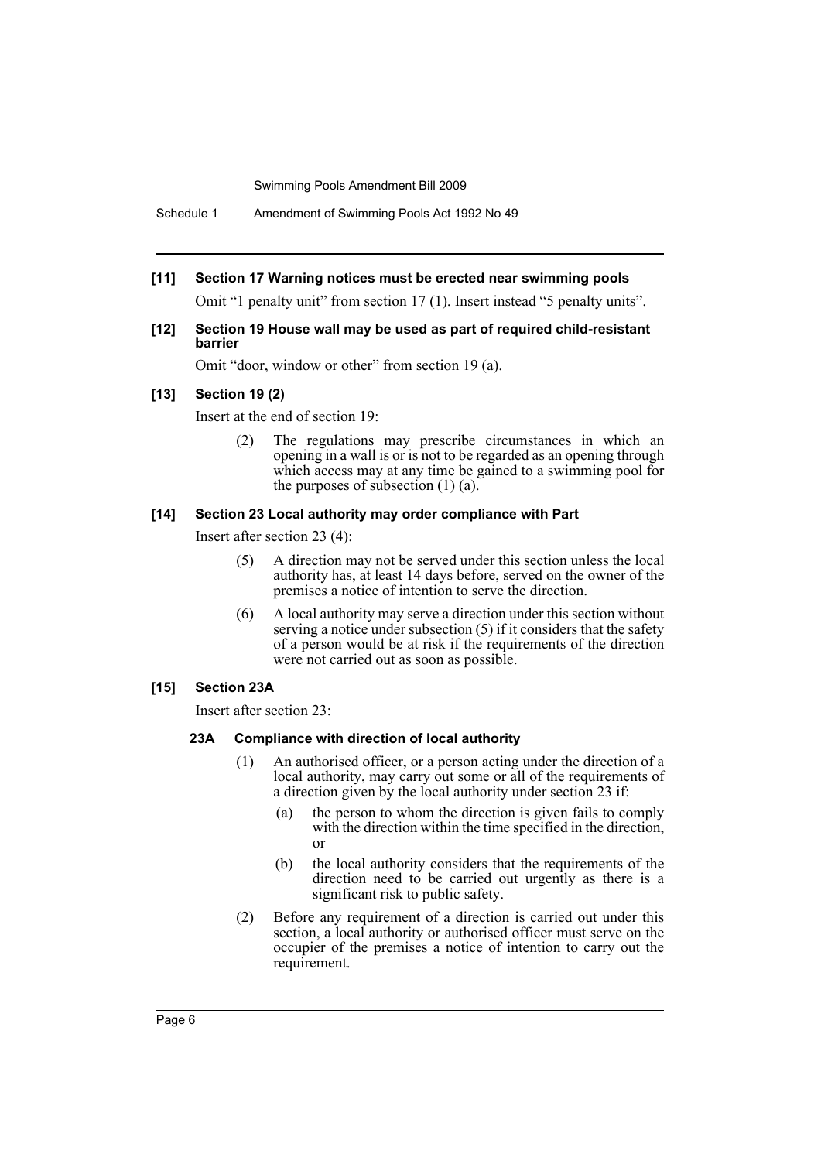## **[11] Section 17 Warning notices must be erected near swimming pools**

Omit "1 penalty unit" from section 17 (1). Insert instead "5 penalty units".

#### **[12] Section 19 House wall may be used as part of required child-resistant barrier**

Omit "door, window or other" from section 19 (a).

#### **[13] Section 19 (2)**

Insert at the end of section 19:

(2) The regulations may prescribe circumstances in which an opening in a wall is or is not to be regarded as an opening through which access may at any time be gained to a swimming pool for the purposes of subsection  $(1)$   $(a)$ .

#### **[14] Section 23 Local authority may order compliance with Part**

Insert after section 23 (4):

- (5) A direction may not be served under this section unless the local authority has, at least 14 days before, served on the owner of the premises a notice of intention to serve the direction.
- (6) A local authority may serve a direction under this section without serving a notice under subsection (5) if it considers that the safety of a person would be at risk if the requirements of the direction were not carried out as soon as possible.

#### **[15] Section 23A**

Insert after section 23:

#### **23A Compliance with direction of local authority**

- (1) An authorised officer, or a person acting under the direction of a local authority, may carry out some or all of the requirements of a direction given by the local authority under section 23 if:
	- (a) the person to whom the direction is given fails to comply with the direction within the time specified in the direction. or
	- (b) the local authority considers that the requirements of the direction need to be carried out urgently as there is a significant risk to public safety.
- (2) Before any requirement of a direction is carried out under this section, a local authority or authorised officer must serve on the occupier of the premises a notice of intention to carry out the requirement.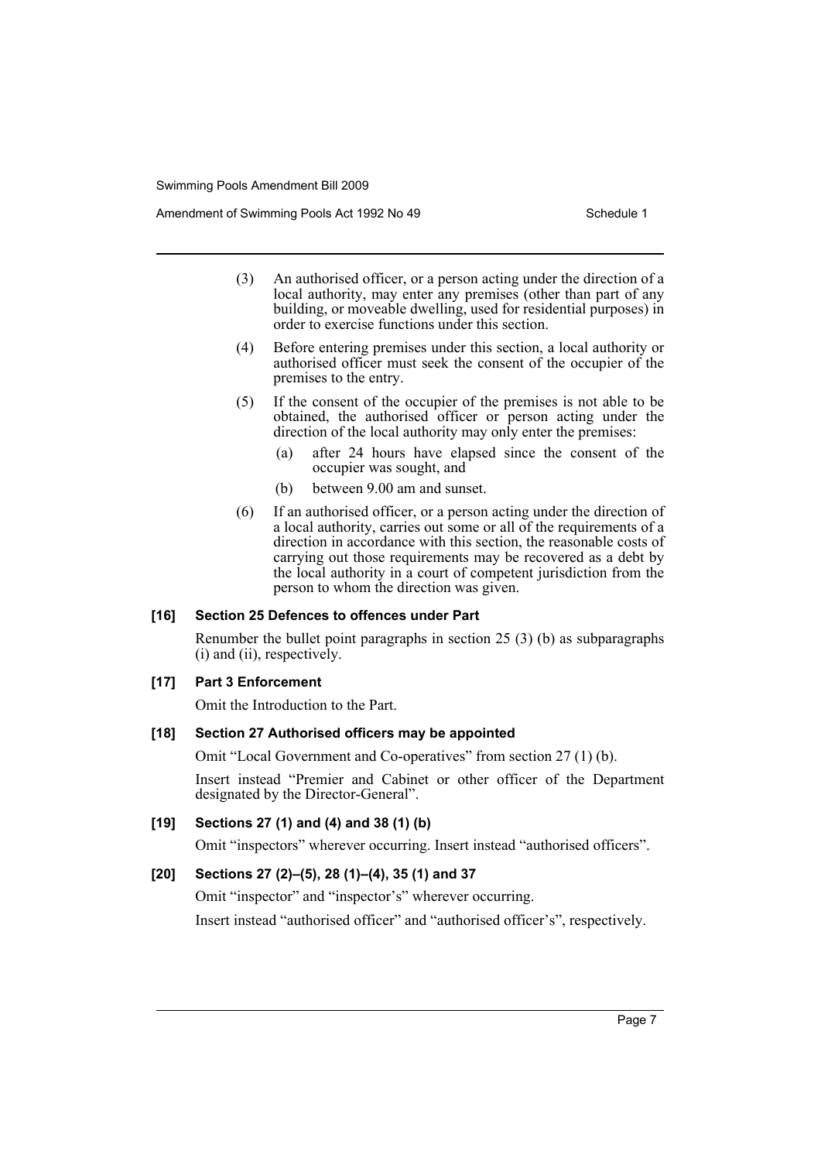Amendment of Swimming Pools Act 1992 No 49 Schedule 1

- (3) An authorised officer, or a person acting under the direction of a local authority, may enter any premises (other than part of any building, or moveable dwelling, used for residential purposes) in order to exercise functions under this section.
- (4) Before entering premises under this section, a local authority or authorised officer must seek the consent of the occupier of the premises to the entry.
- (5) If the consent of the occupier of the premises is not able to be obtained, the authorised officer or person acting under the direction of the local authority may only enter the premises:
	- (a) after 24 hours have elapsed since the consent of the occupier was sought, and
	- (b) between 9.00 am and sunset.
- (6) If an authorised officer, or a person acting under the direction of a local authority, carries out some or all of the requirements of a direction in accordance with this section, the reasonable costs of carrying out those requirements may be recovered as a debt by the local authority in a court of competent jurisdiction from the person to whom the direction was given.

#### **[16] Section 25 Defences to offences under Part**

Renumber the bullet point paragraphs in section 25 (3) (b) as subparagraphs (i) and (ii), respectively.

#### **[17] Part 3 Enforcement**

Omit the Introduction to the Part.

#### **[18] Section 27 Authorised officers may be appointed**

Omit "Local Government and Co-operatives" from section 27 (1) (b).

Insert instead "Premier and Cabinet or other officer of the Department designated by the Director-General".

#### **[19] Sections 27 (1) and (4) and 38 (1) (b)**

Omit "inspectors" wherever occurring. Insert instead "authorised officers".

# **[20] Sections 27 (2)–(5), 28 (1)–(4), 35 (1) and 37**

Omit "inspector" and "inspector's" wherever occurring.

Insert instead "authorised officer" and "authorised officer's", respectively.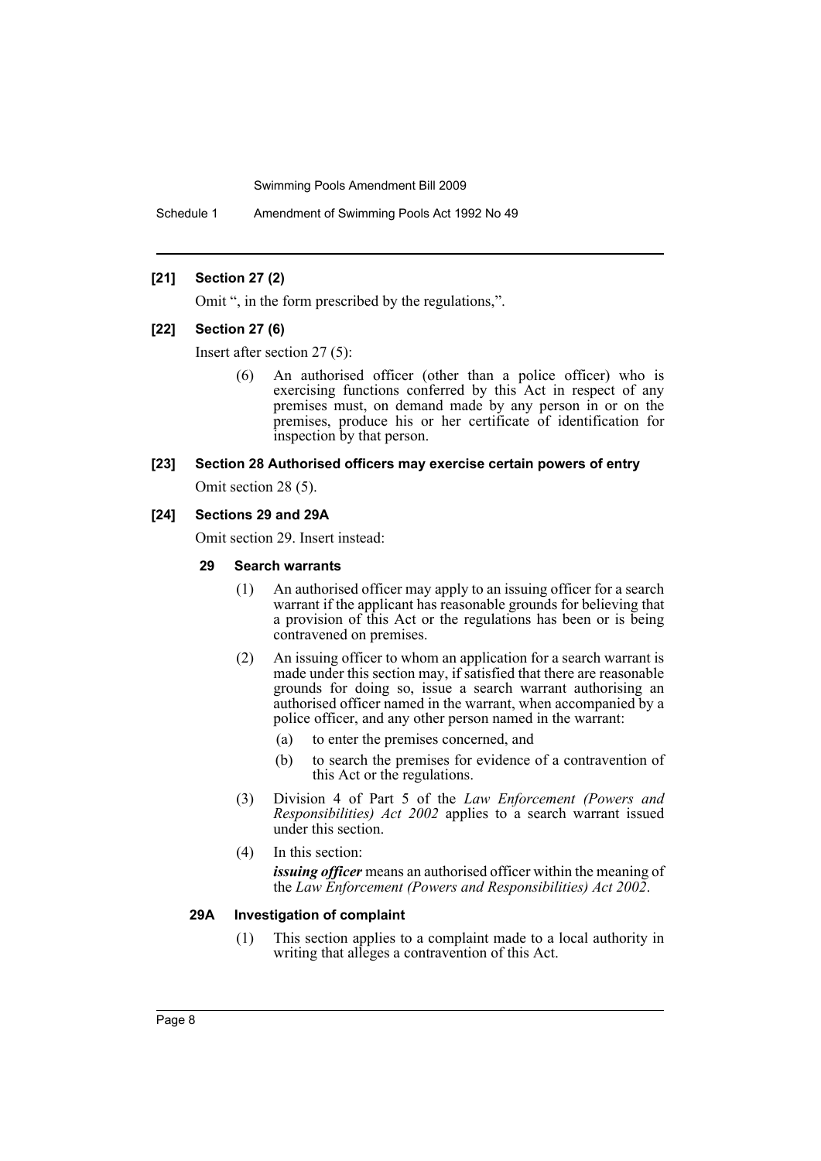Schedule 1 Amendment of Swimming Pools Act 1992 No 49

#### **[21] Section 27 (2)**

Omit ", in the form prescribed by the regulations,".

#### **[22] Section 27 (6)**

Insert after section 27 (5):

(6) An authorised officer (other than a police officer) who is exercising functions conferred by this Act in respect of any premises must, on demand made by any person in or on the premises, produce his or her certificate of identification for inspection by that person.

# **[23] Section 28 Authorised officers may exercise certain powers of entry**

Omit section 28 (5).

#### **[24] Sections 29 and 29A**

Omit section 29. Insert instead:

#### **29 Search warrants**

- (1) An authorised officer may apply to an issuing officer for a search warrant if the applicant has reasonable grounds for believing that a provision of this Act or the regulations has been or is being contravened on premises.
- (2) An issuing officer to whom an application for a search warrant is made under this section may, if satisfied that there are reasonable grounds for doing so, issue a search warrant authorising an authorised officer named in the warrant, when accompanied by a police officer, and any other person named in the warrant:
	- (a) to enter the premises concerned, and
	- (b) to search the premises for evidence of a contravention of this Act or the regulations.
- (3) Division 4 of Part 5 of the *Law Enforcement (Powers and Responsibilities) Act 2002* applies to a search warrant issued under this section.
- (4) In this section:

*issuing officer* means an authorised officer within the meaning of the *Law Enforcement (Powers and Responsibilities) Act 2002*.

#### **29A Investigation of complaint**

(1) This section applies to a complaint made to a local authority in writing that alleges a contravention of this Act.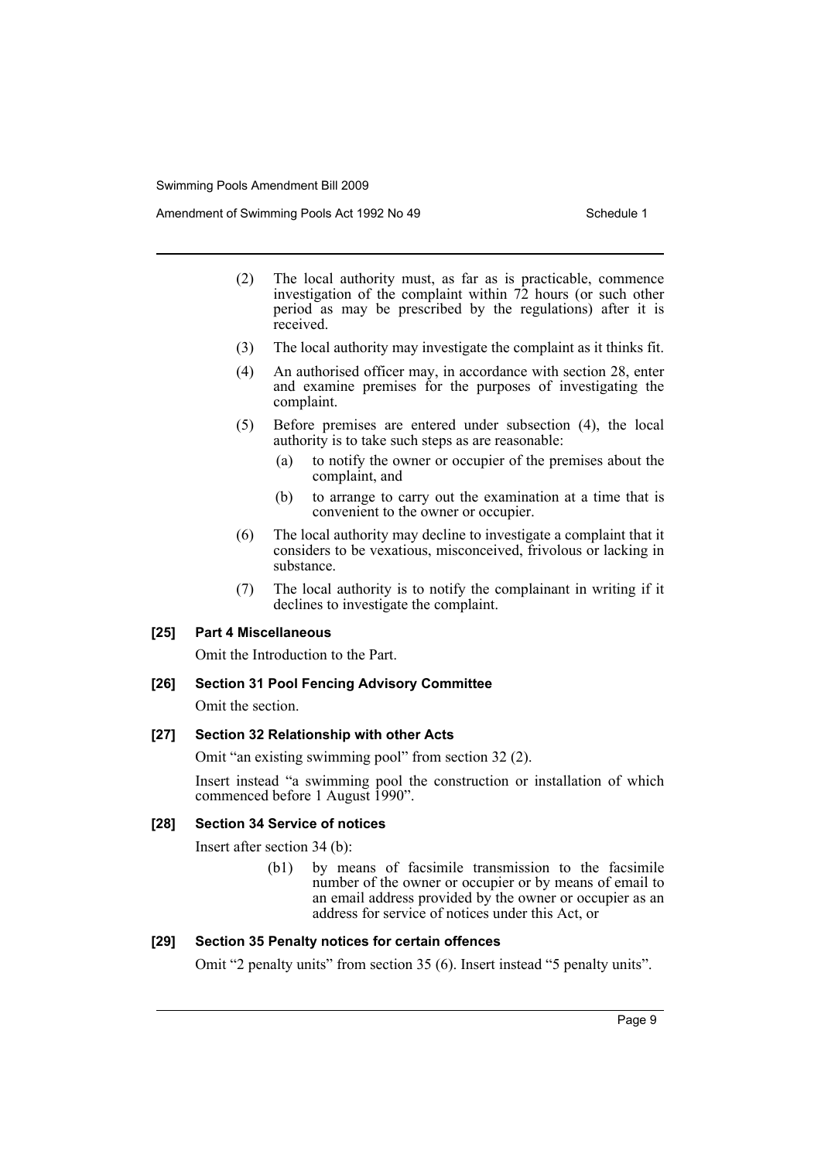Amendment of Swimming Pools Act 1992 No 49 Schedule 1

- (2) The local authority must, as far as is practicable, commence investigation of the complaint within 72 hours (or such other period as may be prescribed by the regulations) after it is received.
- (3) The local authority may investigate the complaint as it thinks fit.
- (4) An authorised officer may, in accordance with section 28, enter and examine premises for the purposes of investigating the complaint.
- (5) Before premises are entered under subsection (4), the local authority is to take such steps as are reasonable:
	- (a) to notify the owner or occupier of the premises about the complaint, and
	- (b) to arrange to carry out the examination at a time that is convenient to the owner or occupier.
- (6) The local authority may decline to investigate a complaint that it considers to be vexatious, misconceived, frivolous or lacking in substance.
- (7) The local authority is to notify the complainant in writing if it declines to investigate the complaint.

#### **[25] Part 4 Miscellaneous**

Omit the Introduction to the Part.

#### **[26] Section 31 Pool Fencing Advisory Committee**

Omit the section.

#### **[27] Section 32 Relationship with other Acts**

Omit "an existing swimming pool" from section 32 (2).

Insert instead "a swimming pool the construction or installation of which commenced before 1 August 1990".

#### **[28] Section 34 Service of notices**

Insert after section 34 (b):

(b1) by means of facsimile transmission to the facsimile number of the owner or occupier or by means of email to an email address provided by the owner or occupier as an address for service of notices under this Act, or

#### **[29] Section 35 Penalty notices for certain offences**

Omit "2 penalty units" from section 35 (6). Insert instead "5 penalty units".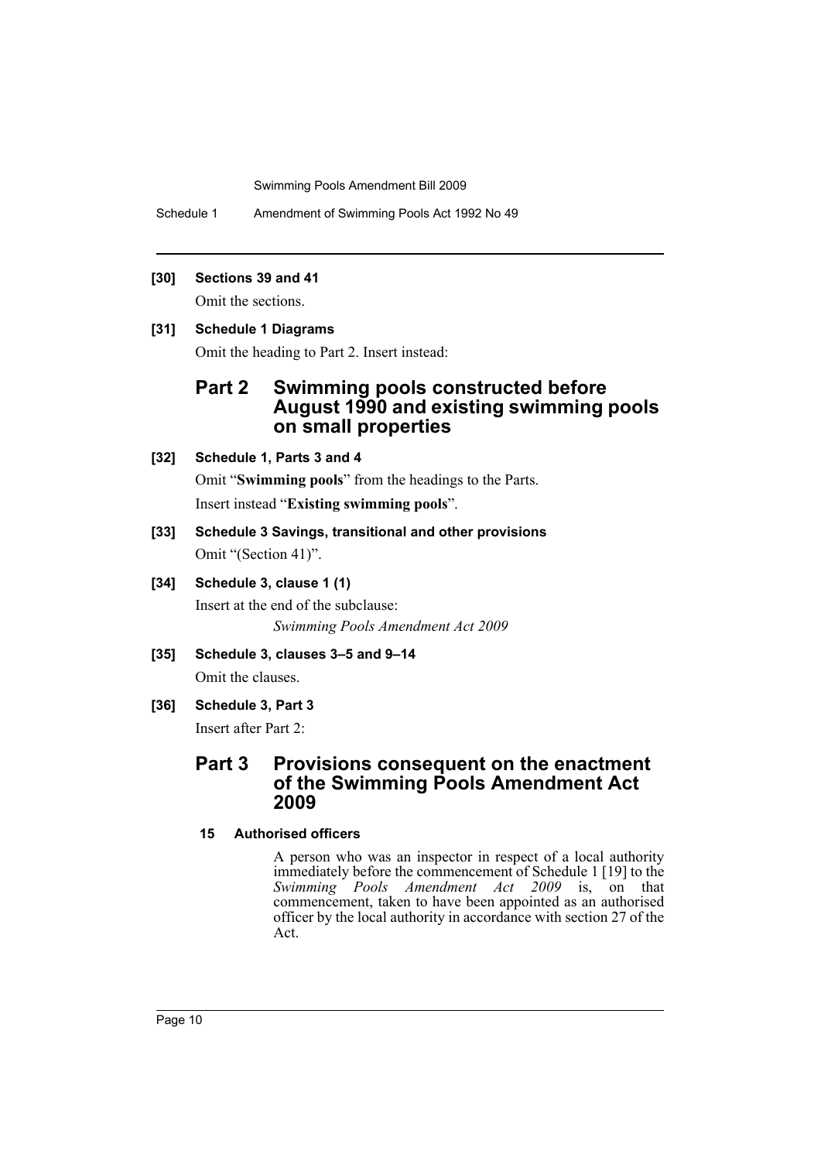Schedule 1 Amendment of Swimming Pools Act 1992 No 49

#### **[30] Sections 39 and 41**

Omit the sections.

### **[31] Schedule 1 Diagrams**

Omit the heading to Part 2. Insert instead:

# **Part 2 Swimming pools constructed before August 1990 and existing swimming pools on small properties**

# **[32] Schedule 1, Parts 3 and 4**

Omit "**Swimming pools**" from the headings to the Parts.

Insert instead "**Existing swimming pools**".

**[33] Schedule 3 Savings, transitional and other provisions** Omit "(Section 41)".

# **[34] Schedule 3, clause 1 (1)**

Insert at the end of the subclause: *Swimming Pools Amendment Act 2009*

**[35] Schedule 3, clauses 3–5 and 9–14** Omit the clauses.

# **[36] Schedule 3, Part 3**

Insert after Part 2:

# **Part 3 Provisions consequent on the enactment of the Swimming Pools Amendment Act 2009**

# **15 Authorised officers**

A person who was an inspector in respect of a local authority immediately before the commencement of Schedule 1 [19] to the *Swimming Pools Amendment Act 2009* is, on that commencement, taken to have been appointed as an authorised officer by the local authority in accordance with section 27 of the Act.